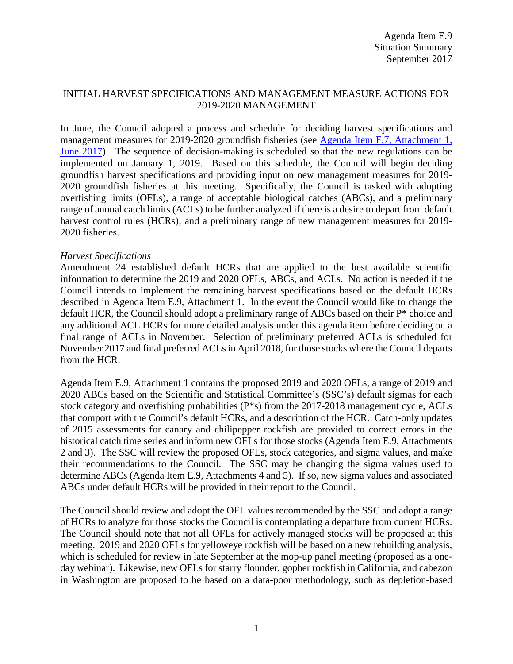### INITIAL HARVEST SPECIFICATIONS AND MANAGEMENT MEASURE ACTIONS FOR 2019-2020 MANAGEMENT

In June, the Council adopted a process and schedule for deciding harvest specifications and management measures for 2019-2020 groundfish fisheries (see [Agenda Item F.7, Attachment 1,](http://www.pcouncil.org/wp-content/uploads/2017/05/F7_Att1_Spex_Schedule_Jun2017BB.pdf)  [June 2017](http://www.pcouncil.org/wp-content/uploads/2017/05/F7_Att1_Spex_Schedule_Jun2017BB.pdf)). The sequence of decision-making is scheduled so that the new regulations can be implemented on January 1, 2019. Based on this schedule, the Council will begin deciding groundfish harvest specifications and providing input on new management measures for 2019- 2020 groundfish fisheries at this meeting. Specifically, the Council is tasked with adopting overfishing limits (OFLs), a range of acceptable biological catches (ABCs), and a preliminary range of annual catch limits (ACLs) to be further analyzed if there is a desire to depart from default harvest control rules (HCRs); and a preliminary range of new management measures for 2019-2020 fisheries.

#### *Harvest Specifications*

Amendment 24 established default HCRs that are applied to the best available scientific information to determine the 2019 and 2020 OFLs, ABCs, and ACLs. No action is needed if the Council intends to implement the remaining harvest specifications based on the default HCRs described in Agenda Item E.9, Attachment 1. In the event the Council would like to change the default HCR, the Council should adopt a preliminary range of ABCs based on their P\* choice and any additional ACL HCRs for more detailed analysis under this agenda item before deciding on a final range of ACLs in November. Selection of preliminary preferred ACLs is scheduled for November 2017 and final preferred ACLs in April 2018, for those stocks where the Council departs from the HCR.

Agenda Item E.9, Attachment 1 contains the proposed 2019 and 2020 OFLs, a range of 2019 and 2020 ABCs based on the Scientific and Statistical Committee's (SSC's) default sigmas for each stock category and overfishing probabilities (P\*s) from the 2017-2018 management cycle, ACLs that comport with the Council's default HCRs, and a description of the HCR. Catch-only updates of 2015 assessments for canary and chilipepper rockfish are provided to correct errors in the historical catch time series and inform new OFLs for those stocks (Agenda Item E.9, Attachments 2 and 3). The SSC will review the proposed OFLs, stock categories, and sigma values, and make their recommendations to the Council. The SSC may be changing the sigma values used to determine ABCs (Agenda Item E.9, Attachments 4 and 5). If so, new sigma values and associated ABCs under default HCRs will be provided in their report to the Council.

The Council should review and adopt the OFL values recommended by the SSC and adopt a range of HCRs to analyze for those stocks the Council is contemplating a departure from current HCRs. The Council should note that not all OFLs for actively managed stocks will be proposed at this meeting. 2019 and 2020 OFLs for yelloweye rockfish will be based on a new rebuilding analysis, which is scheduled for review in late September at the mop-up panel meeting (proposed as a oneday webinar). Likewise, new OFLs for starry flounder, gopher rockfish in California, and cabezon in Washington are proposed to be based on a data-poor methodology, such as depletion-based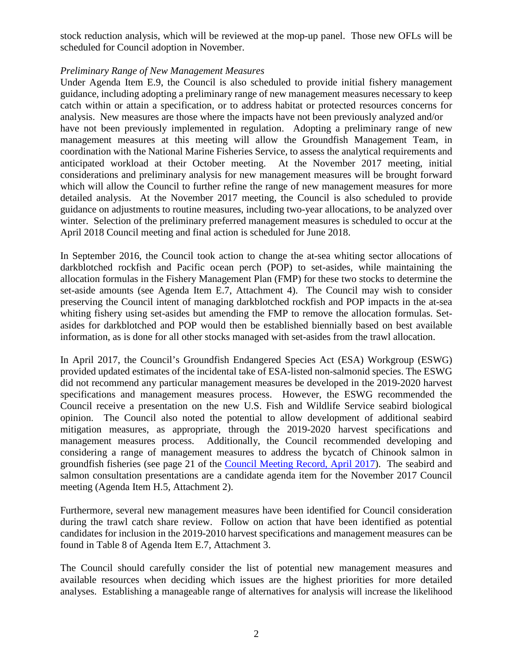stock reduction analysis, which will be reviewed at the mop-up panel. Those new OFLs will be scheduled for Council adoption in November.

### *Preliminary Range of New Management Measures*

Under Agenda Item E.9, the Council is also scheduled to provide initial fishery management guidance, including adopting a preliminary range of new management measures necessary to keep catch within or attain a specification, or to address habitat or protected resources concerns for analysis. New measures are those where the impacts have not been previously analyzed and/or have not been previously implemented in regulation. Adopting a preliminary range of new management measures at this meeting will allow the Groundfish Management Team, in coordination with the National Marine Fisheries Service, to assess the analytical requirements and anticipated workload at their October meeting. At the November 2017 meeting, initial considerations and preliminary analysis for new management measures will be brought forward which will allow the Council to further refine the range of new management measures for more detailed analysis. At the November 2017 meeting, the Council is also scheduled to provide guidance on adjustments to routine measures, including two-year allocations, to be analyzed over winter. Selection of the preliminary preferred management measures is scheduled to occur at the April 2018 Council meeting and final action is scheduled for June 2018.

In September 2016, the Council took action to change the at-sea whiting sector allocations of darkblotched rockfish and Pacific ocean perch (POP) to set-asides, while maintaining the allocation formulas in the Fishery Management Plan (FMP) for these two stocks to determine the set-aside amounts (see Agenda Item E.7, Attachment 4). The Council may wish to consider preserving the Council intent of managing darkblotched rockfish and POP impacts in the at-sea whiting fishery using set-asides but amending the FMP to remove the allocation formulas. Setasides for darkblotched and POP would then be established biennially based on best available information, as is done for all other stocks managed with set-asides from the trawl allocation.

In April 2017, the Council's Groundfish Endangered Species Act (ESA) Workgroup (ESWG) provided updated estimates of the incidental take of ESA-listed non-salmonid species. The ESWG did not recommend any particular management measures be developed in the 2019-2020 harvest specifications and management measures process. However, the ESWG recommended the Council receive a presentation on the new U.S. Fish and Wildlife Service seabird biological opinion. The Council also noted the potential to allow development of additional seabird mitigation measures, as appropriate, through the 2019-2020 harvest specifications and management measures process. Additionally, the Council recommended developing and considering a range of management measures to address the bycatch of Chinook salmon in groundfish fisheries (see page 21 of the [Council Meeting Record, April 2017\)](http://www.pcouncil.org/wp-content/uploads/2017/07/April_2017_Final_Council_Meeting_Record_WITH_VOTING_LOG.pdf). The seabird and salmon consultation presentations are a candidate agenda item for the November 2017 Council meeting (Agenda Item H.5, Attachment 2).

Furthermore, several new management measures have been identified for Council consideration during the trawl catch share review. Follow on action that have been identified as potential candidates for inclusion in the 2019-2010 harvest specifications and management measures can be found in Table 8 of Agenda Item E.7, Attachment 3.

The Council should carefully consider the list of potential new management measures and available resources when deciding which issues are the highest priorities for more detailed analyses. Establishing a manageable range of alternatives for analysis will increase the likelihood